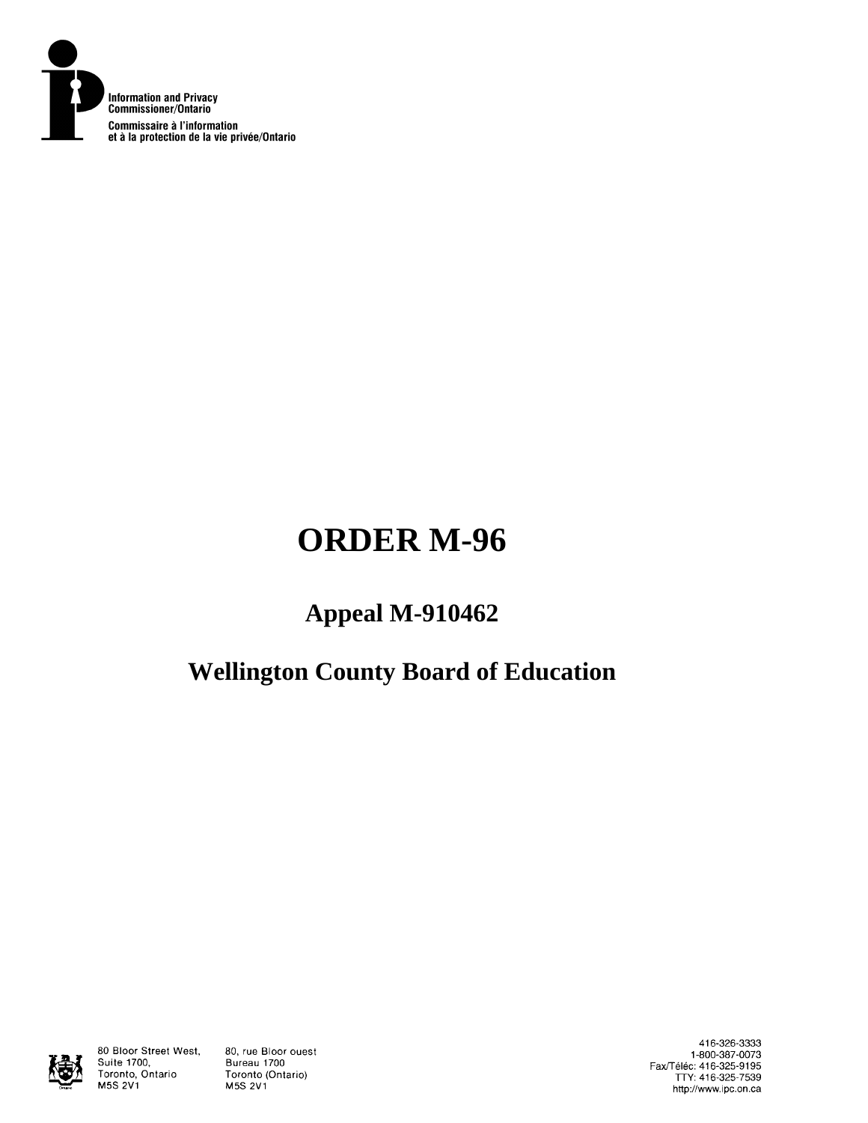

# **ORDER M-96**

## **Appeal M-910462**

## **Wellington County Board of Education**



80 Bloor Street West, Suite 1700, Toronto, Ontario M5S 2V1

80, rue Bloor ouest Bureau 1700 Toronto (Ontario) M5S 2V1

416-326-3333 1-800-387-0073<br>Fax/Téléc: 416-325-9195<br>TTY: 416-325-7539 http://www.ipc.on.ca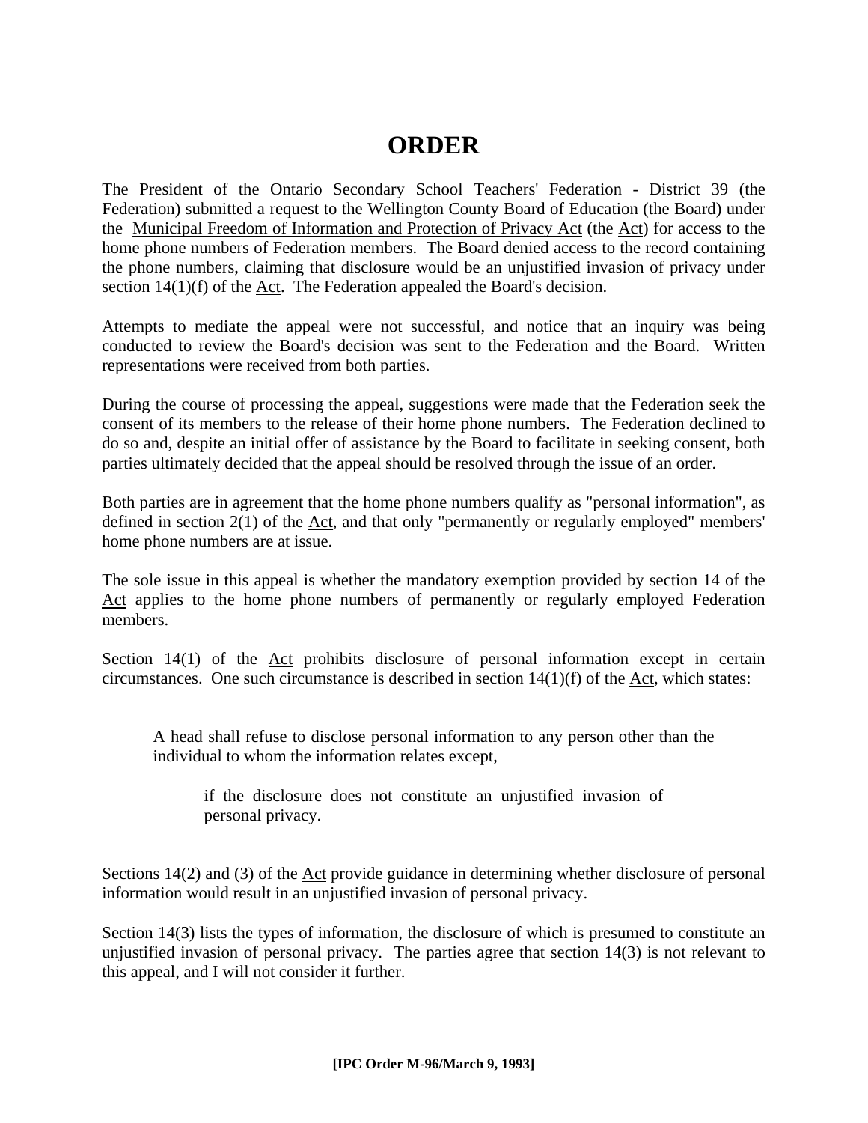#### **ORDER**

The President of the Ontario Secondary School Teachers' Federation - District 39 (the Federation) submitted a request to the Wellington County Board of Education (the Board) under the Municipal Freedom of Information and Protection of Privacy Act (the Act) for access to the home phone numbers of Federation members. The Board denied access to the record containing the phone numbers, claiming that disclosure would be an unjustified invasion of privacy under section 14(1)(f) of the Act. The Federation appealed the Board's decision.

Attempts to mediate the appeal were not successful, and notice that an inquiry was being conducted to review the Board's decision was sent to the Federation and the Board. Written representations were received from both parties.

During the course of processing the appeal, suggestions were made that the Federation seek the consent of its members to the release of their home phone numbers. The Federation declined to do so and, despite an initial offer of assistance by the Board to facilitate in seeking consent, both parties ultimately decided that the appeal should be resolved through the issue of an order.

Both parties are in agreement that the home phone numbers qualify as "personal information", as defined in section  $2(1)$  of the Act, and that only "permanently or regularly employed" members' home phone numbers are at issue.

The sole issue in this appeal is whether the mandatory exemption provided by section 14 of the Act applies to the home phone numbers of permanently or regularly employed Federation members.

Section  $14(1)$  of the Act prohibits disclosure of personal information except in certain circumstances. One such circumstance is described in section  $14(1)(f)$  of the Act, which states:

A head shall refuse to disclose personal information to any person other than the individual to whom the information relates except,

if the disclosure does not constitute an unjustified invasion of personal privacy.

Sections 14(2) and (3) of the Act provide guidance in determining whether disclosure of personal information would result in an unjustified invasion of personal privacy.

Section 14(3) lists the types of information, the disclosure of which is presumed to constitute an unjustified invasion of personal privacy. The parties agree that section 14(3) is not relevant to this appeal, and I will not consider it further.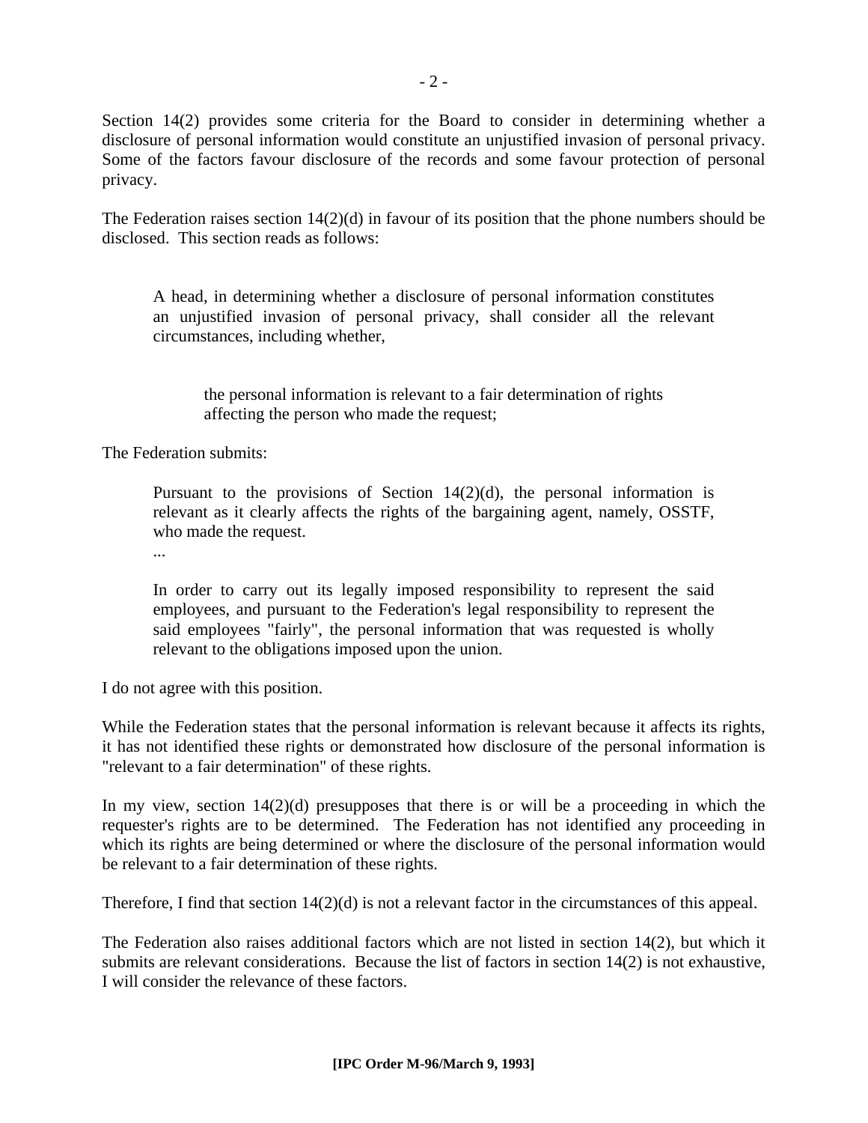Section 14(2) provides some criteria for the Board to consider in determining whether a disclosure of personal information would constitute an unjustified invasion of personal privacy. Some of the factors favour disclosure of the records and some favour protection of personal privacy.

The Federation raises section 14(2)(d) in favour of its position that the phone numbers should be disclosed. This section reads as follows:

A head, in determining whether a disclosure of personal information constitutes an unjustified invasion of personal privacy, shall consider all the relevant circumstances, including whether,

the personal information is relevant to a fair determination of rights affecting the person who made the request;

The Federation submits:

Pursuant to the provisions of Section  $14(2)(d)$ , the personal information is relevant as it clearly affects the rights of the bargaining agent, namely, OSSTF, who made the request.

...

In order to carry out its legally imposed responsibility to represent the said employees, and pursuant to the Federation's legal responsibility to represent the said employees "fairly", the personal information that was requested is wholly relevant to the obligations imposed upon the union.

I do not agree with this position.

While the Federation states that the personal information is relevant because it affects its rights, it has not identified these rights or demonstrated how disclosure of the personal information is "relevant to a fair determination" of these rights.

In my view, section  $14(2)(d)$  presupposes that there is or will be a proceeding in which the requester's rights are to be determined. The Federation has not identified any proceeding in which its rights are being determined or where the disclosure of the personal information would be relevant to a fair determination of these rights.

Therefore, I find that section 14(2)(d) is not a relevant factor in the circumstances of this appeal.

The Federation also raises additional factors which are not listed in section 14(2), but which it submits are relevant considerations. Because the list of factors in section 14(2) is not exhaustive, I will consider the relevance of these factors.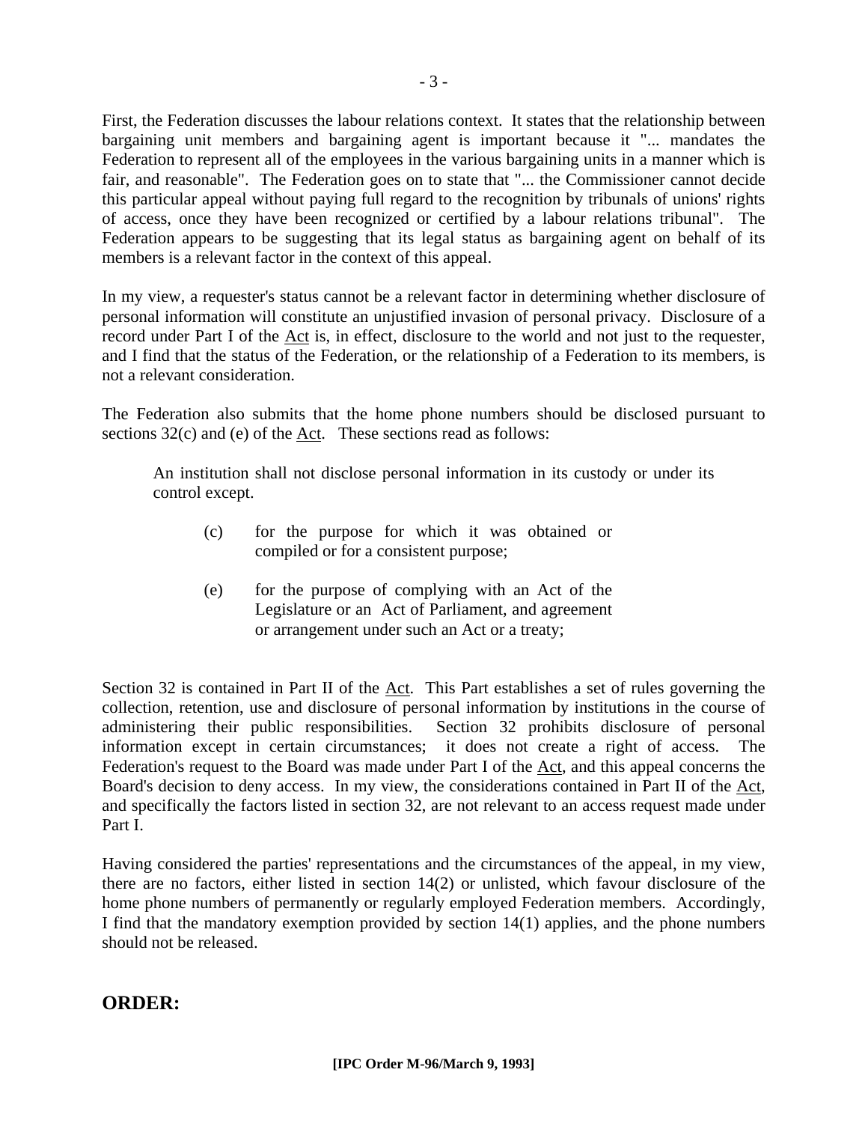First, the Federation discusses the labour relations context. It states that the relationship between bargaining unit members and bargaining agent is important because it "... mandates the Federation to represent all of the employees in the various bargaining units in a manner which is fair, and reasonable". The Federation goes on to state that "... the Commissioner cannot decide this particular appeal without paying full regard to the recognition by tribunals of unions' rights of access, once they have been recognized or certified by a labour relations tribunal". The Federation appears to be suggesting that its legal status as bargaining agent on behalf of its members is a relevant factor in the context of this appeal.

In my view, a requester's status cannot be a relevant factor in determining whether disclosure of personal information will constitute an unjustified invasion of personal privacy. Disclosure of a record under Part I of the Act is, in effect, disclosure to the world and not just to the requester, and I find that the status of the Federation, or the relationship of a Federation to its members, is not a relevant consideration.

The Federation also submits that the home phone numbers should be disclosed pursuant to sections 32(c) and (e) of the <u>Act</u>. These sections read as follows:

An institution shall not disclose personal information in its custody or under its control except.

- (c) for the purpose for which it was obtained or compiled or for a consistent purpose;
- (e) for the purpose of complying with an Act of the Legislature or an Act of Parliament, and agreement or arrangement under such an Act or a treaty;

Section 32 is contained in Part II of the Act. This Part establishes a set of rules governing the collection, retention, use and disclosure of personal information by institutions in the course of administering their public responsibilities. Section 32 prohibits disclosure of personal information except in certain circumstances; it does not create a right of access. The Federation's request to the Board was made under Part I of the Act, and this appeal concerns the Board's decision to deny access. In my view, the considerations contained in Part II of the Act, and specifically the factors listed in section 32, are not relevant to an access request made under Part I.

Having considered the parties' representations and the circumstances of the appeal, in my view, there are no factors, either listed in section 14(2) or unlisted, which favour disclosure of the home phone numbers of permanently or regularly employed Federation members. Accordingly, I find that the mandatory exemption provided by section 14(1) applies, and the phone numbers should not be released.

#### **ORDER:**